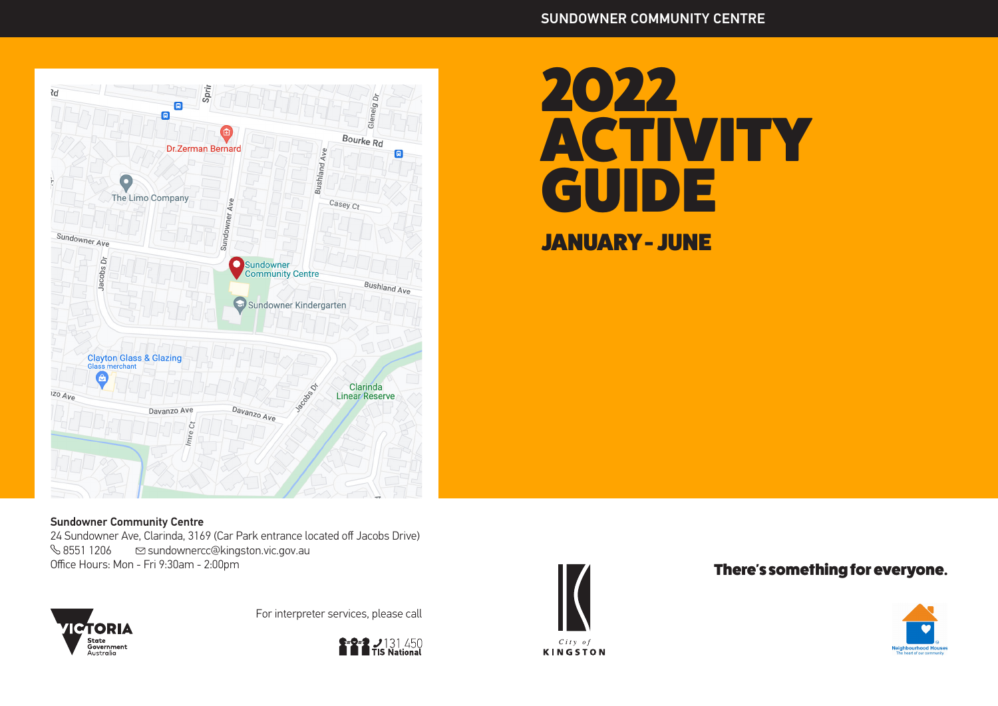

# 2022 **ACTIVITY GUIDE** JANUARY - JUNE

#### Sundowner Community Centre

24 Sundowner Ave, Clarinda, 3169 (Car Park entrance located off Jacobs Drive)<br>  $\%$  8551 1206  $\qquad \textcircled{}$  sundownercc@kingston.vic.gov.au  $\%$  8551 1206  $\degree$  sundownercc@kingston.vic.gov.au<br>Office Hours: Mon - Fri 9:30am - 2:00pm



For interpreter services, please call





**KINGSTON** 

### There's something for everyone.

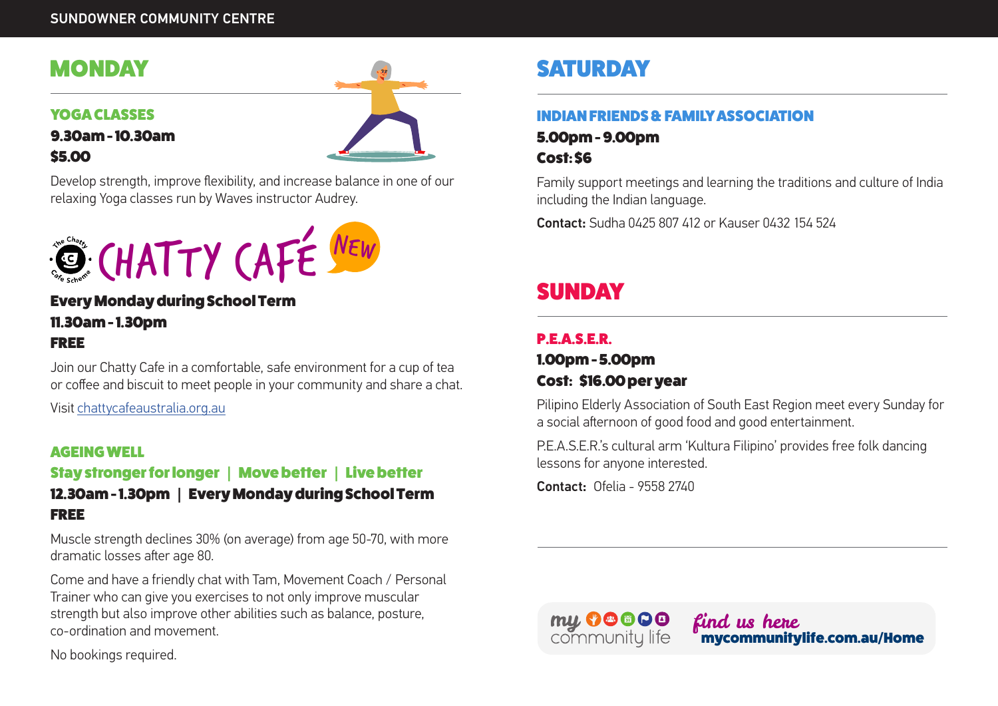# **MONDAY**

#### YOGA CLASSES



Develop strength, improve flexibility, and increase balance in one of our relaxing Yoga classes run by Waves instructor Audrey.



### Every Monday during School Term 11.30am - 1.30pm FREE

Join our Chatty Cafe in a comfortable, safe environment for a cup of tea or coffee and biscuit to meet people in your community and share a chat.

Visit chattycafeaustralia.org.au

#### AGEING WELL

# Stay stronger for longer | Move better | Live better

### 12.30am - 1.30pm | Every Monday during School Term FREE

Muscle strength declines 30% (on average) from age 50-70, with more dramatic losses after age 80.

Come and have a friendly chat with Tam, Movement Coach / Personal Trainer who can give you exercises to not only improve muscular strength but also improve other abilities such as balance, posture, co-ordination and movement.

No bookings required.

# **SATURDAY**

### INDIAN FRIENDS & FAMILY ASSOCIATION

5.00pm - 9.00pm Cost: \$6

Family support meetings and learning the traditions and culture of India including the Indian language.

Contact: Sudha 0425 807 412 or Kauser 0432 154 524

# SUNDAY

# **P.E.A.S.E.R.**

### 1.00pm - 5.00pm Cost: \$16.00 per year

Pilipino Elderly Association of South East Region meet every Sunday for a social afternoon of good food and good entertainment.

P.E.A.S.E.R.'s cultural arm 'Kultura Filipino' provides free folk dancing lessons for anyone interested.

Contact: Ofelia - 9558 2740

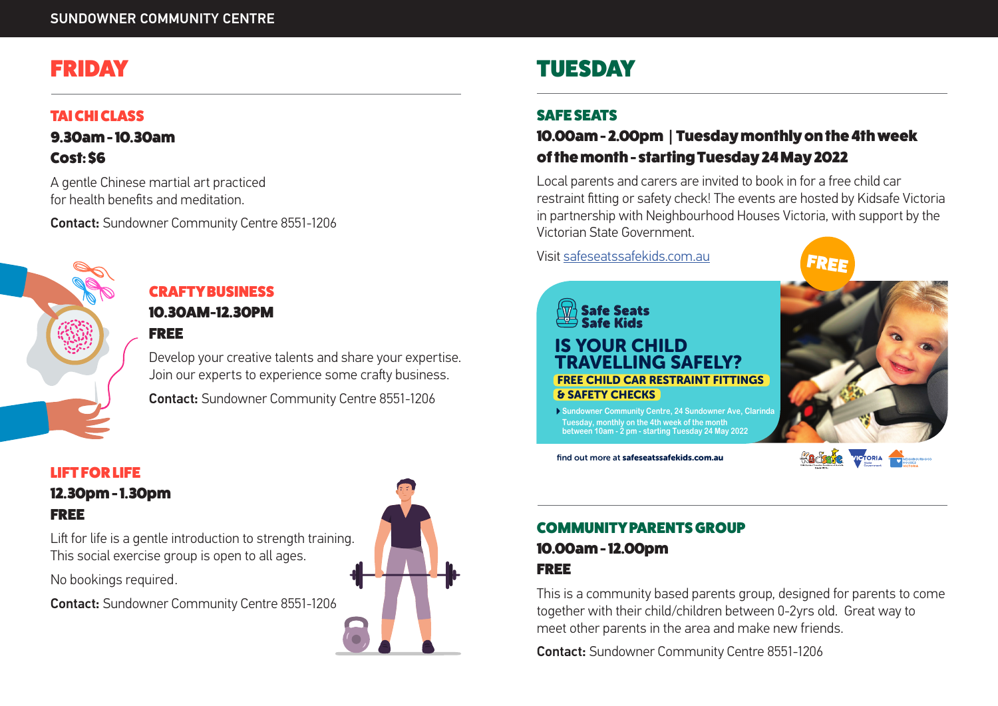# FRIDAY

### TAI CHI CLASS

9.30am - 10.30am Cost: \$6

A gentle Chinese martial art practiced for health benefits and meditation.

Contact: Sundowner Community Centre 8551-1206



# CRAFTY BUSINESS 10.30AM-12.30PM

Develop your creative talents and share your expertise. Join our experts to experience some crafty business.

Contact: Sundowner Community Centre 8551-1206

# LIFT FOR LIFE

12.30pm - 1.30pm FREE

Lift for life is a gentle introduction to strength training. This social exercise group is open to all ages.

No bookings required.

Contact: Sundowner Community Centre 8551-1206



# TUESDAY

### SAFE SEATS

# 10.00am - 2.00pm | Tuesday monthly on the 4th week of the month - starting Tuesday 24 May 2022

Local parents and carers are invited to book in for a free child car restraint fitting or safety check! The events are hosted by Kidsafe Victoria in partnership with Neighbourhood Houses Victoria, with support by the Victorian State Government.

Visit safeseatssafekids.com.au



#### **Safe Seats** Safe Kide IS YOUR CHILD AVELLING SAFFLY? FREE CHILD CAR RESTRAINT FITTINGS & SAFETY CHECKS

**Sundowner Community Centre, 24 Sundowner Ave, Clarinda Tuesday, monthly on the 4th week of the month between 10am - 2 pm - starting Tuesday 24 May 2022**

find out more at safeseatssafekids.com.au



### COMMUNITY PARENTS GROUP

### 10.00am - 12.00pm FREE

This is a community based parents group, designed for parents to come together with their child/children between 0-2yrs old. Great way to meet other parents in the area and make new friends.

Contact: Sundowner Community Centre 8551-1206